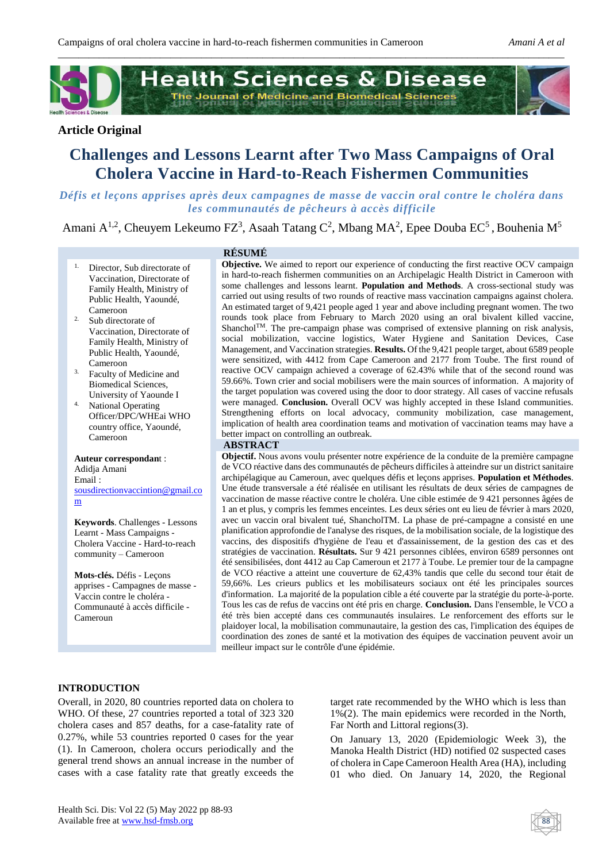

# **Article Original**

# **Challenges and Lessons Learnt after Two Mass Campaigns of Oral Cholera Vaccine in Hard-to-Reach Fishermen Communities**

*Défis et leçons apprises après deux campagnes de masse de vaccin oral contre le choléra dans les communautés de pêcheurs à accès difficile*

Amani A<sup>1,2</sup>, Cheuyem Lekeumo FZ<sup>3</sup>, Asaah Tatang C<sup>2</sup>, Mbang MA<sup>2</sup>, Epee Douba EC<sup>5</sup>, Bouhenia M<sup>5</sup>

- 1. Director, Sub directorate of Vaccination, Directorate of Family Health, Ministry of Public Health, Yaoundé, Cameroon
- 2. Sub directorate of Vaccination, Directorate of Family Health, Ministry of Public Health, Yaoundé, Cameroon
- 3. Faculty of Medicine and Biomedical Sciences,
- University of Yaounde I 4. National Operating Officer/DPC/WHEai WHO country office, Yaoundé, Cameroon

#### **Auteur correspondan**t :

Adidja Amani Email [:](mailto:skohpe@yahoo.com) [sousdirectionvaccintion@gmail.co](mailto:sousdirectionvaccintion@gmail.com) [m](mailto:sousdirectionvaccintion@gmail.com)

**Keywords**. Challenges - Lessons Learnt - Mass Campaigns - Cholera Vaccine - Hard-to-reach community – Cameroon

**Mots-clés.** Défis - Leçons apprises - Campagnes de masse - Vaccin contre le choléra - Communauté à accès difficile - Cameroun

## **RÉSUMÉ**

**Objective.** We aimed to report our experience of conducting the first reactive OCV campaign in hard-to-reach fishermen communities on an Archipelagic Health District in Cameroon with some challenges and lessons learnt. **Population and Methods**. A cross-sectional study was carried out using results of two rounds of reactive mass vaccination campaigns against cholera. An estimated target of 9,421 people aged 1 year and above including pregnant women. The two rounds took place from February to March 2020 using an oral bivalent killed vaccine, Shanchol<sup>TM</sup>. The pre-campaign phase was comprised of extensive planning on risk analysis, social mobilization, vaccine logistics, Water Hygiene and Sanitation Devices, Case Management, and Vaccination strategies. **Results.** Of the 9,421 people target, about 6589 people were sensitized, with 4412 from Cape Cameroon and 2177 from Toube. The first round of reactive OCV campaign achieved a coverage of 62.43% while that of the second round was 59.66%. Town crier and social mobilisers were the main sources of information. A majority of the target population was covered using the door to door strategy. All cases of vaccine refusals were managed. **Conclusion.** Overall OCV was highly accepted in these Island communities. Strengthening efforts on local advocacy, community mobilization, case management, implication of health area coordination teams and motivation of vaccination teams may have a better impact on controlling an outbreak.

#### **ABSTRACT**

**Objectif.** Nous avons voulu présenter notre expérience de la conduite de la première campagne de VCO réactive dans des communautés de pêcheurs difficiles à atteindre sur un district sanitaire archipélagique au Cameroun, avec quelques défis et leçons apprises. **Population et Méthodes**. Une étude transversale a été réalisée en utilisant les résultats de deux séries de campagnes de vaccination de masse réactive contre le choléra. Une cible estimée de 9 421 personnes âgées de 1 an et plus, y compris les femmes enceintes. Les deux séries ont eu lieu de février à mars 2020, avec un vaccin oral bivalent tué, ShancholTM. La phase de pré-campagne a consisté en une planification approfondie de l'analyse des risques, de la mobilisation sociale, de la logistique des vaccins, des dispositifs d'hygiène de l'eau et d'assainissement, de la gestion des cas et des stratégies de vaccination. **Résultats.** Sur 9 421 personnes ciblées, environ 6589 personnes ont été sensibilisées, dont 4412 au Cap Cameroun et 2177 à Toube. Le premier tour de la campagne de VCO réactive a atteint une couverture de 62,43% tandis que celle du second tour était de 59,66%. Les crieurs publics et les mobilisateurs sociaux ont été les principales sources d'information. La majorité de la population cible a été couverte par la stratégie du porte-à-porte. Tous les cas de refus de vaccins ont été pris en charge. **Conclusion.** Dans l'ensemble, le VCO a été très bien accepté dans ces communautés insulaires. Le renforcement des efforts sur le plaidoyer local, la mobilisation communautaire, la gestion des cas, l'implication des équipes de coordination des zones de santé et la motivation des équipes de vaccination peuvent avoir un meilleur impact sur le contrôle d'une épidémie.

## **INTRODUCTION**

Overall, in 2020, 80 countries reported data on cholera to WHO. Of these, 27 countries reported a total of 323 320 cholera cases and 857 deaths, for a case-fatality rate of 0.27%, while 53 countries reported 0 cases for the year (1). In Cameroon, cholera occurs periodically and the general trend shows an annual increase in the number of cases with a case fatality rate that greatly exceeds the

target rate recommended by the WHO which is less than 1%(2). The main epidemics were recorded in the North, Far North and Littoral regions(3).

On January 13, 2020 (Epidemiologic Week 3), the Manoka Health District (HD) notified 02 suspected cases of cholera in Cape Cameroon Health Area (HA), including 01 who died. On January 14, 2020, the Regional

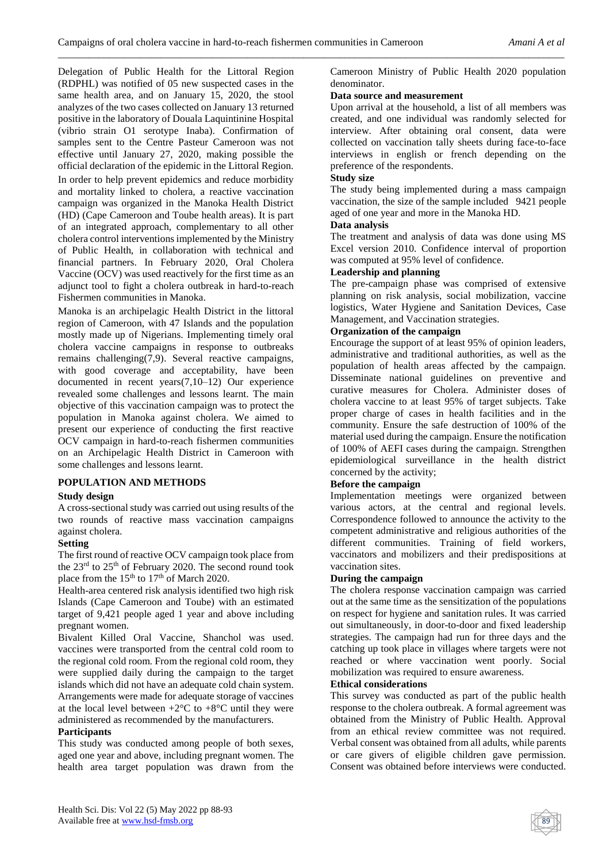Delegation of Public Health for the Littoral Region (RDPHL) was notified of 05 new suspected cases in the same health area, and on January 15, 2020, the stool analyzes of the two cases collected on January 13 returned positive in the laboratory of Douala Laquintinine Hospital (vibrio strain O1 serotype Inaba). Confirmation of samples sent to the Centre Pasteur Cameroon was not effective until January 27, 2020, making possible the official declaration of the epidemic in the Littoral Region. In order to help prevent epidemics and reduce morbidity and mortality linked to cholera, a reactive vaccination campaign was organized in the Manoka Health District (HD) (Cape Cameroon and Toube health areas). It is part of an integrated approach, complementary to all other cholera control interventions implemented by the Ministry of Public Health, in collaboration with technical and financial partners. In February 2020, Oral Cholera Vaccine (OCV) was used reactively for the first time as an adjunct tool to fight a cholera outbreak in hard-to-reach Fishermen communities in Manoka.

Manoka is an archipelagic Health District in the littoral region of Cameroon, with 47 Islands and the population mostly made up of Nigerians. Implementing timely oral cholera vaccine campaigns in response to outbreaks remains challenging(7,9). Several reactive campaigns, with good coverage and acceptability, have been documented in recent years(7,10–12) Our experience revealed some challenges and lessons learnt. The main objective of this vaccination campaign was to protect the population in Manoka against cholera. We aimed to present our experience of conducting the first reactive OCV campaign in hard-to-reach fishermen communities on an Archipelagic Health District in Cameroon with some challenges and lessons learnt.

## **POPULATION AND METHODS**

## **Study design**

A cross-sectional study was carried out using results of the two rounds of reactive mass vaccination campaigns against cholera.

# **Setting**

The first round of reactive OCV campaign took place from the 23<sup>rd</sup> to 25<sup>th</sup> of February 2020. The second round took place from the  $15<sup>th</sup>$  to  $17<sup>th</sup>$  of March 2020.

Health-area centered risk analysis identified two high risk Islands (Cape Cameroon and Toube) with an estimated target of 9,421 people aged 1 year and above including pregnant women.

Bivalent Killed Oral Vaccine, Shanchol was used. vaccines were transported from the central cold room to the regional cold room. From the regional cold room, they were supplied daily during the campaign to the target islands which did not have an adequate cold chain system. Arrangements were made for adequate storage of vaccines at the local level between  $+2$ °C to  $+8$ °C until they were administered as recommended by the manufacturers.

## **Participants**

This study was conducted among people of both sexes, aged one year and above, including pregnant women. The health area target population was drawn from the

Cameroon Ministry of Public Health 2020 population denominator.

### **Data source and measurement**

Upon arrival at the household, a list of all members was created, and one individual was randomly selected for interview. After obtaining oral consent, data were collected on vaccination tally sheets during face-to-face interviews in english or french depending on the preference of the respondents.

## **Study size**

*\_\_\_\_\_\_\_\_\_\_\_\_\_\_\_\_\_\_\_\_\_\_\_\_\_\_\_\_\_\_\_\_\_\_\_\_\_\_\_\_\_\_\_\_\_\_\_\_\_\_\_\_\_\_\_\_\_\_\_\_\_\_\_\_\_\_\_\_\_\_\_\_\_\_\_\_\_\_\_\_\_\_\_\_\_\_\_\_\_\_\_\_\_\_\_\_\_\_\_*

The study being implemented during a mass campaign vaccination, the size of the sample included 9421 people aged of one year and more in the Manoka HD.

### **Data analysis**

The treatment and analysis of data was done using MS Excel version 2010. Confidence interval of proportion was computed at 95% level of confidence.

## **Leadership and planning**

The pre-campaign phase was comprised of extensive planning on risk analysis, social mobilization, vaccine logistics, Water Hygiene and Sanitation Devices, Case Management, and Vaccination strategies.

### **Organization of the campaign**

Encourage the support of at least 95% of opinion leaders, administrative and traditional authorities, as well as the population of health areas affected by the campaign. Disseminate national guidelines on preventive and curative measures for Cholera. Administer doses of cholera vaccine to at least 95% of target subjects. Take proper charge of cases in health facilities and in the community. Ensure the safe destruction of 100% of the material used during the campaign. Ensure the notification of 100% of AEFI cases during the campaign. Strengthen epidemiological surveillance in the health district concerned by the activity;

## **Before the campaign**

Implementation meetings were organized between various actors, at the central and regional levels. Correspondence followed to announce the activity to the competent administrative and religious authorities of the different communities. Training of field workers, vaccinators and mobilizers and their predispositions at vaccination sites.

## **During the campaign**

The cholera response vaccination campaign was carried out at the same time as the sensitization of the populations on respect for hygiene and sanitation rules. It was carried out simultaneously, in door-to-door and fixed leadership strategies. The campaign had run for three days and the catching up took place in villages where targets were not reached or where vaccination went poorly. Social mobilization was required to ensure awareness.

#### **Ethical considerations**

This survey was conducted as part of the public health response to the cholera outbreak. A formal agreement was obtained from the Ministry of Public Health. Approval from an ethical review committee was not required. Verbal consent was obtained from all adults, while parents or care givers of eligible children gave permission. Consent was obtained before interviews were conducted.

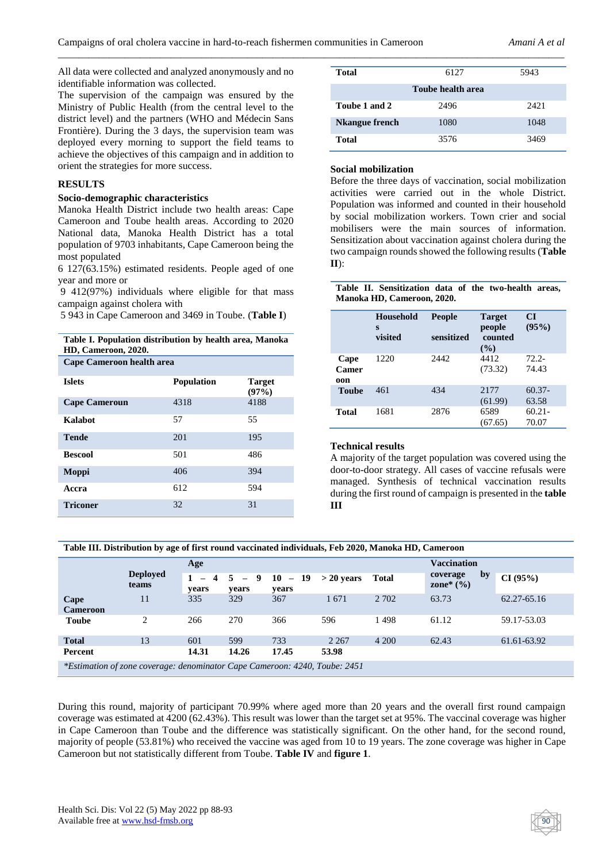*\_\_\_\_\_\_\_\_\_\_\_\_\_\_\_\_\_\_\_\_\_\_\_\_\_\_\_\_\_\_\_\_\_\_\_\_\_\_\_\_\_\_\_\_\_\_\_\_\_\_\_\_\_\_\_\_\_\_\_\_\_\_\_\_\_\_\_\_\_\_\_\_\_\_\_\_\_\_\_\_\_\_\_\_\_\_\_\_\_\_\_\_\_\_\_\_\_\_\_*

All data were collected and analyzed anonymously and no identifiable information was collected.

The supervision of the campaign was ensured by the Ministry of Public Health (from the central level to the district level) and the partners (WHO and Médecin Sans Frontière). During the 3 days, the supervision team was deployed every morning to support the field teams to achieve the objectives of this campaign and in addition to orient the strategies for more success.

#### **RESULTS**

#### **Socio-demographic characteristics**

Manoka Health District include two health areas: Cape Cameroon and Toube health areas. According to 2020 National data, Manoka Health District has a total population of 9703 inhabitants, Cape Cameroon being the most populated

6 127(63.15%) estimated residents. People aged of one year and more or

9 412(97%) individuals where eligible for that mass campaign against cholera with

5 943 in Cape Cameroon and 3469 in Toube. (**Table I**)

**Table I. Population distribution by health area, Manoka HD, Cameroon, 2020.**

| <b>Cape Cameroon health area</b> |                   |                        |  |  |  |  |
|----------------------------------|-------------------|------------------------|--|--|--|--|
| <b>Islets</b>                    | <b>Population</b> | <b>Target</b><br>(97%) |  |  |  |  |
| <b>Cape Cameroun</b>             | 4318              | 4188                   |  |  |  |  |
| Kalabot                          | 57                | 55                     |  |  |  |  |
| <b>Tende</b>                     | 201               | 195                    |  |  |  |  |
| <b>Bescool</b>                   | 501               | 486                    |  |  |  |  |
| Moppi                            | 406               | 394                    |  |  |  |  |
| Accra                            | 612               | 594                    |  |  |  |  |
| <b>Triconer</b>                  | 32                | 31                     |  |  |  |  |

| Total                 | 6127 | 5943 |  |  |  |  |  |
|-----------------------|------|------|--|--|--|--|--|
| Toube health area     |      |      |  |  |  |  |  |
| Toube 1 and 2         | 2496 | 2421 |  |  |  |  |  |
| <b>Nkangue french</b> | 1080 | 1048 |  |  |  |  |  |
| Total                 | 3576 | 3469 |  |  |  |  |  |

#### **Social mobilization**

Before the three days of vaccination, social mobilization activities were carried out in the whole District. Population was informed and counted in their household by social mobilization workers. Town crier and social mobilisers were the main sources of information. Sensitization about vaccination against cholera during the two campaign rounds showed the following results (**Table II**):

#### **Table II. Sensitization data of the two-health areas, Manoka HD, Cameroon, 2020.**

|                      | Household<br>S<br>visited | <b>People</b><br>sensitized | <b>Target</b><br>people<br>counted<br>$($ %) | <b>CI</b><br>(95%) |
|----------------------|---------------------------|-----------------------------|----------------------------------------------|--------------------|
| Cape<br>Camer<br>oon | 1220                      | 2442                        | 4412<br>(73.32)                              | $72.2 -$<br>74.43  |
| Toube                | 461                       | 434                         | 2177<br>(61.99)                              | $60.37-$<br>63.58  |
| Total                | 1681                      | 2876                        | 6589<br>(67.65)                              | $60.21 -$<br>70.07 |

## **Technical results**

A majority of the target population was covered using the door-to-door strategy. All cases of vaccine refusals were managed. Synthesis of technical vaccination results during the first round of campaign is presented in the **table III**

**Table III. Distribution by age of first round vaccinated individuals, Feb 2020, Manoka HD, Cameroon**

|                                                                                   |                          | Age                                               |                  |                    |              | <b>Vaccination</b> |                                 |             |
|-----------------------------------------------------------------------------------|--------------------------|---------------------------------------------------|------------------|--------------------|--------------|--------------------|---------------------------------|-------------|
|                                                                                   | <b>Deployed</b><br>teams | 1<br>$\overline{4}$<br>$\qquad \qquad -$<br>years | $5 - 9$<br>years | $10 - 19$<br>years | $> 20$ years | <b>Total</b>       | by<br>coverage<br>zone* $(\% )$ | CI(95%)     |
| Cape<br><b>Cameroon</b>                                                           | 11                       | 335                                               | 329              | 367                | 1671         | 2 7 0 2            | 63.73                           | 62.27-65.16 |
| <b>Toube</b>                                                                      | $\overline{c}$           | 266                                               | 270              | 366                | 596          | 1498               | 61.12                           | 59.17-53.03 |
| <b>Total</b>                                                                      | 13                       | 601                                               | 599              | 733                | 2 2 6 7      | 4 200              | 62.43                           | 61.61-63.92 |
| Percent                                                                           |                          | 14.31                                             | 14.26            | 17.45              | 53.98        |                    |                                 |             |
| <i>*Estimation of zone coverage: denominator Cape Cameroon: 4240, Toube: 2451</i> |                          |                                                   |                  |                    |              |                    |                                 |             |

During this round, majority of participant 70.99% where aged more than 20 years and the overall first round campaign coverage was estimated at 4200 (62.43%). This result was lower than the target set at 95%. The vaccinal coverage was higher in Cape Cameroon than Toube and the difference was statistically significant. On the other hand, for the second round, majority of people (53.81%) who received the vaccine was aged from 10 to 19 years. The zone coverage was higher in Cape Cameroon but not statistically different from Toube. **Table IV** and **figure 1**.

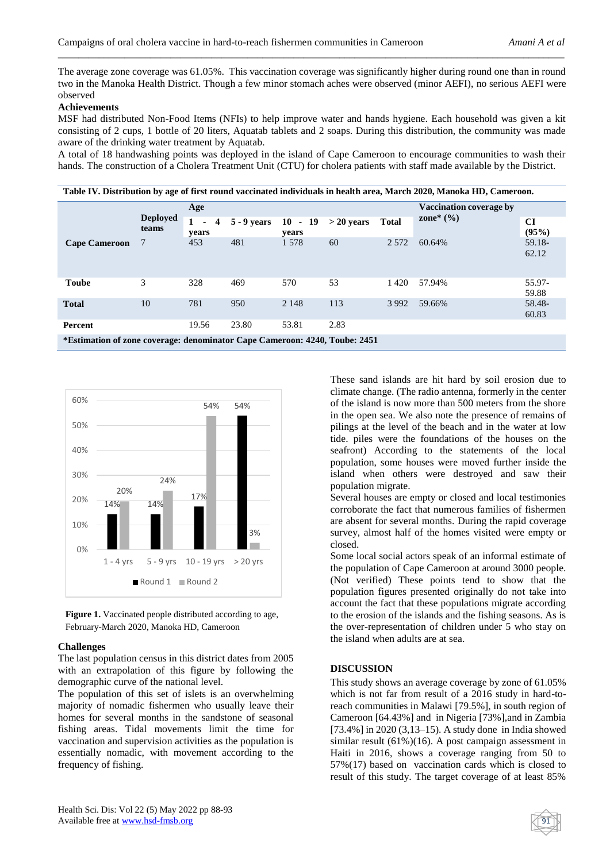The average zone coverage was 61.05%. This vaccination coverage was significantly higher during round one than in round two in the Manoka Health District. Though a few minor stomach aches were observed (minor AEFI), no serious AEFI were observed

*\_\_\_\_\_\_\_\_\_\_\_\_\_\_\_\_\_\_\_\_\_\_\_\_\_\_\_\_\_\_\_\_\_\_\_\_\_\_\_\_\_\_\_\_\_\_\_\_\_\_\_\_\_\_\_\_\_\_\_\_\_\_\_\_\_\_\_\_\_\_\_\_\_\_\_\_\_\_\_\_\_\_\_\_\_\_\_\_\_\_\_\_\_\_\_\_\_\_\_*

## **Achievements**

MSF had distributed Non-Food Items (NFIs) to help improve water and hands hygiene. Each household was given a kit consisting of 2 cups, 1 bottle of 20 liters, Aquatab tablets and 2 soaps. During this distribution, the community was made aware of the drinking water treatment by Aquatab.

A total of 18 handwashing points was deployed in the island of Cape Cameroon to encourage communities to wash their hands. The construction of a Cholera Treatment Unit (CTU) for cholera patients with staff made available by the District.

**Table IV. Distribution by age of first round vaccinated individuals in health area, March 2020, Manoka HD, Cameroon.**

|                                                                            | <b>Deployed</b><br>teams | Age                                               |               |                    |              | <b>Vaccination coverage by</b> |               |                 |
|----------------------------------------------------------------------------|--------------------------|---------------------------------------------------|---------------|--------------------|--------------|--------------------------------|---------------|-----------------|
|                                                                            |                          | $\mathbf{1}$<br>$\overline{4}$<br>$\sim$<br>years | $5 - 9$ years | $10 - 19$<br>years | $>$ 20 years | <b>Total</b>                   | zone* $(\% )$ | CI<br>(95%)     |
| <b>Cape Cameroon</b>                                                       | 7                        | 453                                               | 481           | 1578               | 60           | 2 5 7 2                        | 60.64%        | 59.18-<br>62.12 |
| <b>Toube</b>                                                               | 3                        | 328                                               | 469           | 570                | 53           | 1420                           | 57.94%        | 55.97-<br>59.88 |
| <b>Total</b>                                                               | 10                       | 781                                               | 950           | 2 1 4 8            | 113          | 3 9 9 2                        | 59.66%        | 58.48-<br>60.83 |
| Percent                                                                    |                          | 19.56                                             | 23.80         | 53.81              | 2.83         |                                |               |                 |
| *Estimation of zone coverage: denominator Cape Cameroon: 4240, Toube: 2451 |                          |                                                   |               |                    |              |                                |               |                 |



**Figure 1.** Vaccinated people distributed according to age, February-March 2020, Manoka HD, Cameroon

#### **Challenges**

The last population census in this district dates from 2005 with an extrapolation of this figure by following the demographic curve of the national level.

The population of this set of islets is an overwhelming majority of nomadic fishermen who usually leave their homes for several months in the sandstone of seasonal fishing areas. Tidal movements limit the time for vaccination and supervision activities as the population is essentially nomadic, with movement according to the frequency of fishing.

These sand islands are hit hard by soil erosion due to climate change. (The radio antenna, formerly in the center of the island is now more than 500 meters from the shore in the open sea. We also note the presence of remains of pilings at the level of the beach and in the water at low tide. piles were the foundations of the houses on the seafront) According to the statements of the local population, some houses were moved further inside the island when others were destroyed and saw their population migrate.

Several houses are empty or closed and local testimonies corroborate the fact that numerous families of fishermen are absent for several months. During the rapid coverage survey, almost half of the homes visited were empty or closed.

Some local social actors speak of an informal estimate of the population of Cape Cameroon at around 3000 people. (Not verified) These points tend to show that the population figures presented originally do not take into account the fact that these populations migrate according to the erosion of the islands and the fishing seasons. As is the over-representation of children under 5 who stay on the island when adults are at sea.

#### **DISCUSSION**

This study shows an average coverage by zone of 61.05% which is not far from result of a 2016 study in hard-toreach communities in Malawi [79.5%], in south region of Cameroon [64.43%] and in Nigeria [73%],and in Zambia [73.4%] in 2020 (3,13–15). A study done in India showed similar result (61%)(16). A post campaign assessment in Haiti in 2016, shows a coverage ranging from 50 to 57%(17) based on vaccination cards which is closed to result of this study. The target coverage of at least 85%

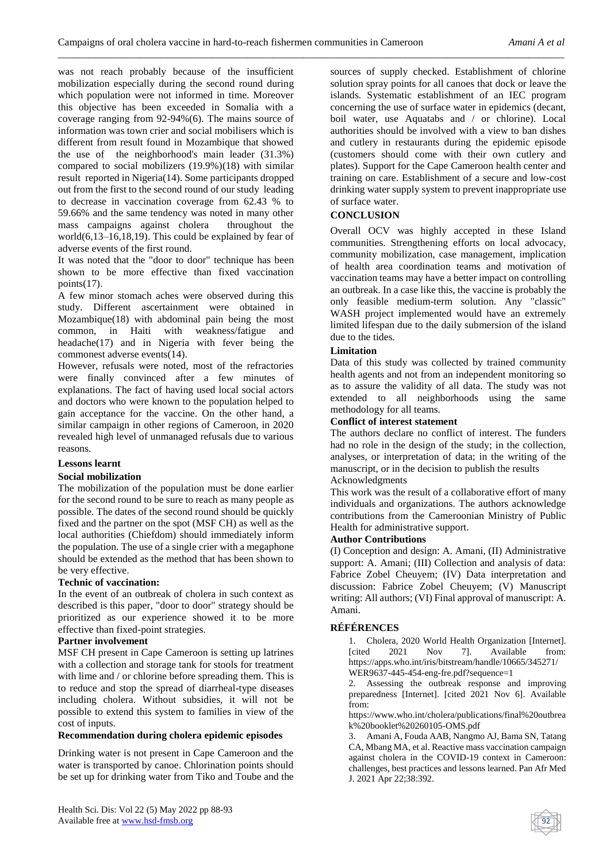*\_\_\_\_\_\_\_\_\_\_\_\_\_\_\_\_\_\_\_\_\_\_\_\_\_\_\_\_\_\_\_\_\_\_\_\_\_\_\_\_\_\_\_\_\_\_\_\_\_\_\_\_\_\_\_\_\_\_\_\_\_\_\_\_\_\_\_\_\_\_\_\_\_\_\_\_\_\_\_\_\_\_\_\_\_\_\_\_\_\_\_\_\_\_\_\_\_\_\_*

was not reach probably because of the insufficient mobilization especially during the second round during which population were not informed in time. Moreover this objective has been exceeded in Somalia with a coverage ranging from 92-94%(6). The mains source of information was town crier and social mobilisers which is different from result found in Mozambique that showed the use of the neighborhood's main leader (31.3%) compared to social mobilizers (19.9%)(18) with similar result reported in Nigeria(14). Some participants dropped out from the first to the second round of our study leading to decrease in vaccination coverage from 62.43 % to 59.66% and the same tendency was noted in many other mass campaigns against cholera throughout the world(6,13–16,18,19). This could be explained by fear of adverse events of the first round.

It was noted that the "door to door" technique has been shown to be more effective than fixed vaccination points(17).

A few minor stomach aches were observed during this study. Different ascertainment were obtained in Mozambique(18) with abdominal pain being the most common, in Haiti with weakness/fatigue and headache(17) and in Nigeria with fever being the commonest adverse events(14).

However, refusals were noted, most of the refractories were finally convinced after a few minutes of explanations. The fact of having used local social actors and doctors who were known to the population helped to gain acceptance for the vaccine. On the other hand, a similar campaign in other regions of Cameroon, in 2020 revealed high level of unmanaged refusals due to various reasons.

# **Lessons learnt**

## **Social mobilization**

The mobilization of the population must be done earlier for the second round to be sure to reach as many people as possible. The dates of the second round should be quickly fixed and the partner on the spot (MSF CH) as well as the local authorities (Chiefdom) should immediately inform the population. The use of a single crier with a megaphone should be extended as the method that has been shown to be very effective.

## **Technic of vaccination:**

In the event of an outbreak of cholera in such context as described is this paper, "door to door" strategy should be prioritized as our experience showed it to be more effective than fixed-point strategies.

#### **Partner involvement**

MSF CH present in Cape Cameroon is setting up latrines with a collection and storage tank for stools for treatment with lime and / or chlorine before spreading them. This is to reduce and stop the spread of diarrheal-type diseases including cholera. Without subsidies, it will not be possible to extend this system to families in view of the cost of inputs.

## **Recommendation during cholera epidemic episodes**

Drinking water is not present in Cape Cameroon and the water is transported by canoe. Chlorination points should be set up for drinking water from Tiko and Toube and the sources of supply checked. Establishment of chlorine solution spray points for all canoes that dock or leave the islands. Systematic establishment of an IEC program concerning the use of surface water in epidemics (decant, boil water, use Aquatabs and / or chlorine). Local authorities should be involved with a view to ban dishes and cutlery in restaurants during the epidemic episode (customers should come with their own cutlery and plates). Support for the Cape Cameroon health center and training on care. Establishment of a secure and low-cost drinking water supply system to prevent inappropriate use of surface water.

## **CONCLUSION**

Overall OCV was highly accepted in these Island communities. Strengthening efforts on local advocacy, community mobilization, case management, implication of health area coordination teams and motivation of vaccination teams may have a better impact on controlling an outbreak. In a case like this, the vaccine is probably the only feasible medium-term solution. Any "classic" WASH project implemented would have an extremely limited lifespan due to the daily submersion of the island due to the tides.

### **Limitation**

Data of this study was collected by trained community health agents and not from an independent monitoring so as to assure the validity of all data. The study was not extended to all neighborhoods using the same methodology for all teams.

## **Conflict of interest statement**

The authors declare no conflict of interest. The funders had no role in the design of the study; in the collection, analyses, or interpretation of data; in the writing of the manuscript, or in the decision to publish the results Acknowledgments

This work was the result of a collaborative effort of many individuals and organizations. The authors acknowledge contributions from the Cameroonian Ministry of Public Health for administrative support.

## **Author Contributions**

(I) Conception and design: A. Amani, (II) Administrative support: A. Amani; (III) Collection and analysis of data: Fabrice Zobel Cheuyem; (IV) Data interpretation and discussion: Fabrice Zobel Cheuyem; (V) Manuscript writing: All authors; (VI) Final approval of manuscript: A. Amani.

## **RÉFÉRENCES**

1. Cholera, 2020 World Health Organization [Internet]. [cited 2021 Nov 7]. Available from: https://apps.who.int/iris/bitstream/handle/10665/345271/ WER9637-445-454-eng-fre.pdf?sequence=1

2. Assessing the outbreak response and improving preparedness [Internet]. [cited 2021 Nov 6]. Available from:

https://www.who.int/cholera/publications/final%20outbrea k%20booklet%20260105-OMS.pdf

3. Amani A, Fouda AAB, Nangmo AJ, Bama SN, Tatang CA, Mbang MA, et al. Reactive mass vaccination campaign against cholera in the COVID-19 context in Cameroon: challenges, best practices and lessons learned. Pan Afr Med J. 2021 Apr 22;38:392.